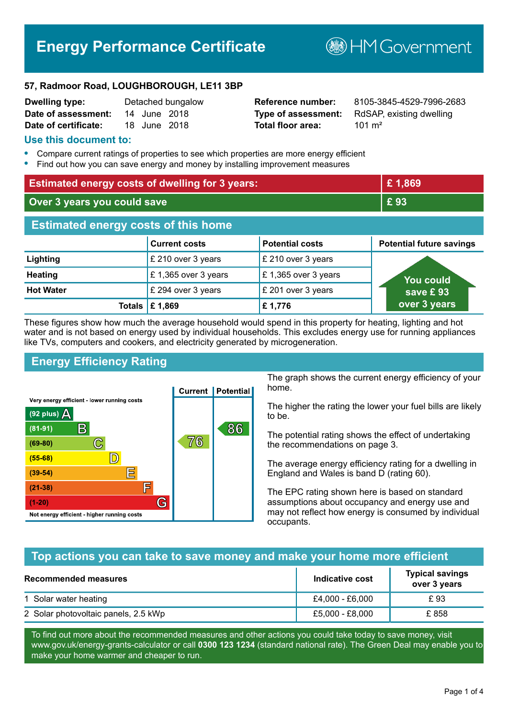# **Energy Performance Certificate**

**B**HM Government

#### **57, Radmoor Road, LOUGHBOROUGH, LE11 3BP**

| <b>Dwelling type:</b> |              | Detached bungalow |
|-----------------------|--------------|-------------------|
| Date of assessment:   | 14 June 2018 |                   |
| Date of certificate:  | 18 June 2018 |                   |

# **Total floor area:** 101 m<sup>2</sup>

**Reference number:** 8105-3845-4529-7996-2683 **Type of assessment:** RdSAP, existing dwelling

#### **Use this document to:**

- **•** Compare current ratings of properties to see which properties are more energy efficient
- **•** Find out how you can save energy and money by installing improvement measures

| <b>Estimated energy costs of dwelling for 3 years:</b> |                      |                        | £1,869                            |
|--------------------------------------------------------|----------------------|------------------------|-----------------------------------|
| Over 3 years you could save                            |                      | £93                    |                                   |
| <b>Estimated energy costs of this home</b>             |                      |                        |                                   |
|                                                        | <b>Current costs</b> | <b>Potential costs</b> | <b>Potential future savings</b>   |
| Lighting                                               | £ 210 over 3 years   | £ 210 over 3 years     |                                   |
| <b>Heating</b>                                         | £1,365 over 3 years  | £1,365 over 3 years    | <b>You could</b>                  |
| <b>Hot Water</b>                                       | £ 294 over 3 years   | £ 201 over 3 years     | save $\boldsymbol{\mathsf{E}}$ 93 |
| Totals                                                 | £1,869               | £1,776                 | over 3 years                      |

These figures show how much the average household would spend in this property for heating, lighting and hot water and is not based on energy used by individual households. This excludes energy use for running appliances like TVs, computers and cookers, and electricity generated by microgeneration.

# **Energy Efficiency Rating**



The graph shows the current energy efficiency of your home.

The higher the rating the lower your fuel bills are likely to be.

The potential rating shows the effect of undertaking the recommendations on page 3.

The average energy efficiency rating for a dwelling in England and Wales is band D (rating 60).

The EPC rating shown here is based on standard assumptions about occupancy and energy use and may not reflect how energy is consumed by individual occupants.

#### **Top actions you can take to save money and make your home more efficient**

| Recommended measures                 | Indicative cost | <b>Typical savings</b><br>over 3 years |
|--------------------------------------|-----------------|----------------------------------------|
| 1 Solar water heating                | £4,000 - £6,000 | £ 93                                   |
| 2 Solar photovoltaic panels, 2.5 kWp | £5,000 - £8,000 | £858                                   |

To find out more about the recommended measures and other actions you could take today to save money, visit www.gov.uk/energy-grants-calculator or call **0300 123 1234** (standard national rate). The Green Deal may enable you to make your home warmer and cheaper to run.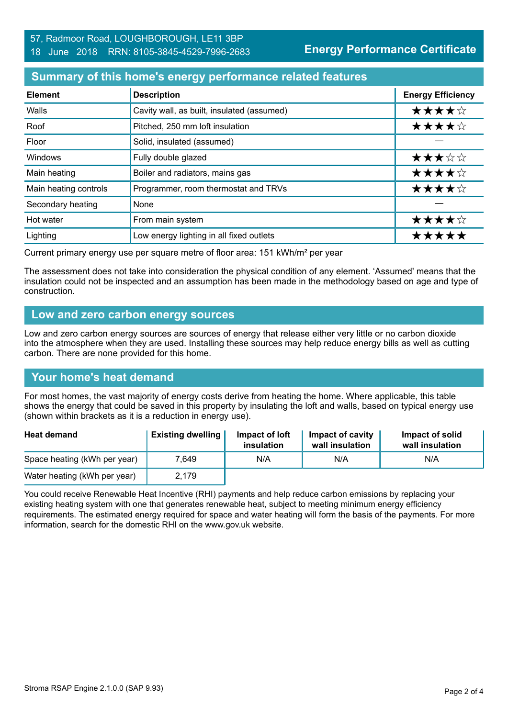### **Summary of this home's energy performance related features**

| <b>Element</b>        | <b>Description</b>                         | <b>Energy Efficiency</b> |
|-----------------------|--------------------------------------------|--------------------------|
| Walls                 | Cavity wall, as built, insulated (assumed) | ★★★★☆                    |
| Roof                  | Pitched, 250 mm loft insulation            | ★★★★☆                    |
| Floor                 | Solid, insulated (assumed)                 |                          |
| Windows               | Fully double glazed                        | ★★★☆☆                    |
| Main heating          | Boiler and radiators, mains gas            | ★★★★☆                    |
| Main heating controls | Programmer, room thermostat and TRVs       | ★★★★☆                    |
| Secondary heating     | None                                       |                          |
| Hot water             | From main system                           | ★★★★☆                    |
| Lighting              | Low energy lighting in all fixed outlets   | *****                    |

Current primary energy use per square metre of floor area: 151 kWh/m² per year

The assessment does not take into consideration the physical condition of any element. 'Assumed' means that the insulation could not be inspected and an assumption has been made in the methodology based on age and type of construction.

#### **Low and zero carbon energy sources**

Low and zero carbon energy sources are sources of energy that release either very little or no carbon dioxide into the atmosphere when they are used. Installing these sources may help reduce energy bills as well as cutting carbon. There are none provided for this home.

# **Your home's heat demand**

For most homes, the vast majority of energy costs derive from heating the home. Where applicable, this table shows the energy that could be saved in this property by insulating the loft and walls, based on typical energy use (shown within brackets as it is a reduction in energy use).

| <b>Heat demand</b>           | <b>Existing dwelling</b> | Impact of loft<br>insulation | Impact of cavity<br>wall insulation | Impact of solid<br>wall insulation |
|------------------------------|--------------------------|------------------------------|-------------------------------------|------------------------------------|
| Space heating (kWh per year) | 7.649                    | N/A                          | N/A                                 | N/A                                |
| Water heating (kWh per year) | 2.179                    |                              |                                     |                                    |

You could receive Renewable Heat Incentive (RHI) payments and help reduce carbon emissions by replacing your existing heating system with one that generates renewable heat, subject to meeting minimum energy efficiency requirements. The estimated energy required for space and water heating will form the basis of the payments. For more information, search for the domestic RHI on the www.gov.uk website.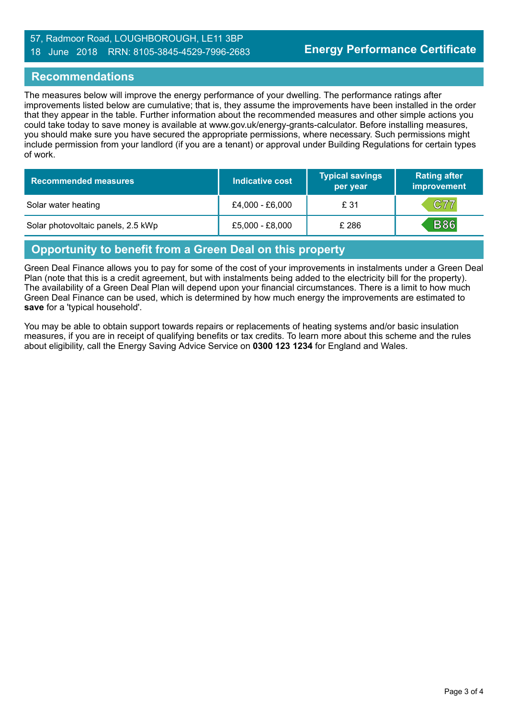#### 57, Radmoor Road, LOUGHBOROUGH, LE11 3BP 18 June 2018 RRN: 8105-3845-4529-7996-2683

#### **Recommendations**

The measures below will improve the energy performance of your dwelling. The performance ratings after improvements listed below are cumulative; that is, they assume the improvements have been installed in the order that they appear in the table. Further information about the recommended measures and other simple actions you could take today to save money is available at www.gov.uk/energy-grants-calculator. Before installing measures, you should make sure you have secured the appropriate permissions, where necessary. Such permissions might include permission from your landlord (if you are a tenant) or approval under Building Regulations for certain types of work.

| <b>Recommended measures</b>        | Indicative cost | <b>Typical savings</b><br>per year | <b>Rating after</b><br>improvement |
|------------------------------------|-----------------|------------------------------------|------------------------------------|
| Solar water heating                | £4,000 - £6,000 | £ 31                               | C77                                |
| Solar photovoltaic panels, 2.5 kWp | £5,000 - £8,000 | £ 286                              | <b>B86</b>                         |

# **Opportunity to benefit from a Green Deal on this property**

Green Deal Finance allows you to pay for some of the cost of your improvements in instalments under a Green Deal Plan (note that this is a credit agreement, but with instalments being added to the electricity bill for the property). The availability of a Green Deal Plan will depend upon your financial circumstances. There is a limit to how much Green Deal Finance can be used, which is determined by how much energy the improvements are estimated to **save** for a 'typical household'.

You may be able to obtain support towards repairs or replacements of heating systems and/or basic insulation measures, if you are in receipt of qualifying benefits or tax credits. To learn more about this scheme and the rules about eligibility, call the Energy Saving Advice Service on **0300 123 1234** for England and Wales.